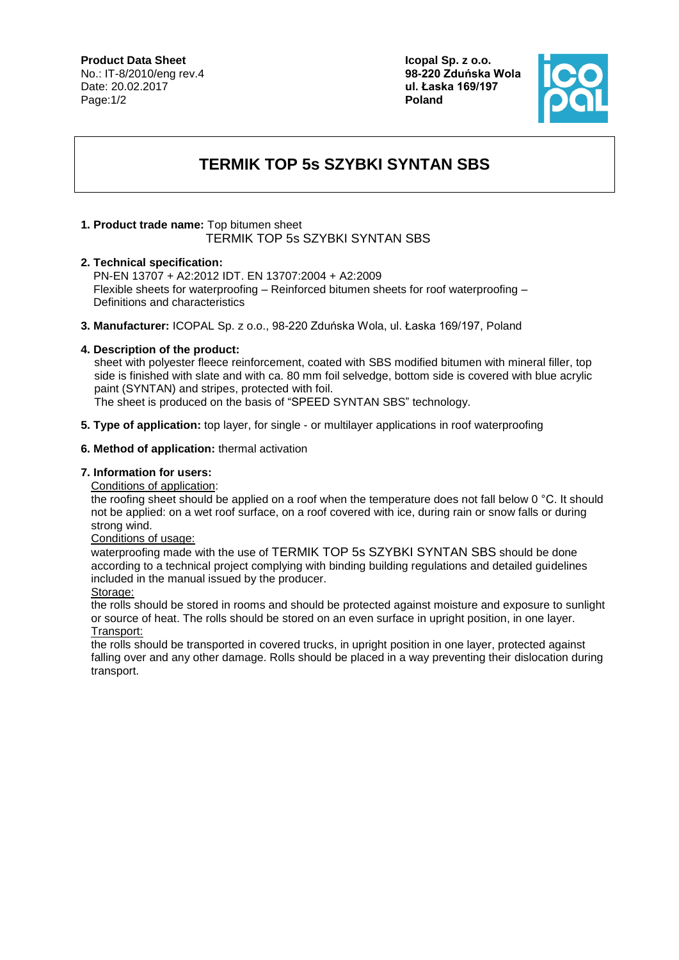# **Product Data Sheet**

No.: IT-8/2010/eng rev.4 Date: 20.02.2017 Page:1/2

**Icopal Sp. z o.o. 98-220 Zduńska Wola ul. Łaska 169/197 Poland**



# **TERMIK TOP 5s SZYBKI SYNTAN SBS**

## **1. Product trade name:** Top bitumen sheet TERMIK TOP 5s SZYBKI SYNTAN SBS

## **2. Technical specification:**

PN-EN 13707 + A2:2012 IDT. EN 13707:2004 + A2:2009 Flexible sheets for waterproofing – Reinforced bitumen sheets for roof waterproofing – Definitions and characteristics

**3. Manufacturer:** ICOPAL Sp. z o.o., 98-220 Zduńska Wola, ul. Łaska 169/197, Poland

#### **4. Description of the product:**

sheet with polyester fleece reinforcement, coated with SBS modified bitumen with mineral filler, top side is finished with slate and with ca. 80 mm foil selvedge, bottom side is covered with blue acrylic paint (SYNTAN) and stripes, protected with foil.

The sheet is produced on the basis of "SPEED SYNTAN SBS" technology.

**5. Type of application:** top layer, for single - or multilayer applications in roof waterproofing

#### **6. Method of application:** thermal activation

#### **7. Information for users:**

Conditions of application:

the roofing sheet should be applied on a roof when the temperature does not fall below 0 °C. It should not be applied: on a wet roof surface, on a roof covered with ice, during rain or snow falls or during strong wind.

#### Conditions of usage:

waterproofing made with the use of TERMIK TOP 5s SZYBKI SYNTAN SBS should be done according to a technical project complying with binding building regulations and detailed guidelines included in the manual issued by the producer.

Storage:

the rolls should be stored in rooms and should be protected against moisture and exposure to sunlight or source of heat. The rolls should be stored on an even surface in upright position, in one layer. Transport:

the rolls should be transported in covered trucks, in upright position in one layer, protected against falling over and any other damage. Rolls should be placed in a way preventing their dislocation during transport.